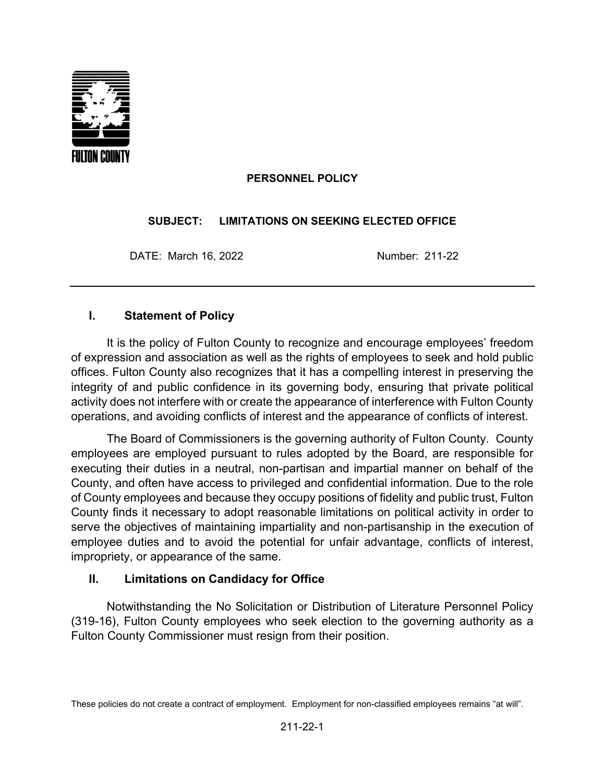

### **PERSONNEL POLICY**

#### **SUBJECT: LIMITATIONS ON SEEKING ELECTED OFFICE**

DATE: March 16, 2022 Number: 211-22

# **I. Statement of Policy**

It is the policy of Fulton County to recognize and encourage employees' freedom of expression and association as well as the rights of employees to seek and hold public offices. Fulton County also recognizes that it has a compelling interest in preserving the integrity of and public confidence in its governing body, ensuring that private political activity does not interfere with or create the appearance of interference with Fulton County operations, and avoiding conflicts of interest and the appearance of conflicts of interest.

The Board of Commissioners is the governing authority of Fulton County. County employees are employed pursuant to rules adopted by the Board, are responsible for executing their duties in a neutral, non-partisan and impartial manner on behalf of the County, and often have access to privileged and confidential information. Due to the role of County employees and because they occupy positions of fidelity and public trust, Fulton County finds it necessary to adopt reasonable limitations on political activity in order to serve the objectives of maintaining impartiality and non-partisanship in the execution of employee duties and to avoid the potential for unfair advantage, conflicts of interest, impropriety, or appearance of the same.

#### **II. Limitations on Candidacy for Office**

Notwithstanding the No Solicitation or Distribution of Literature Personnel Policy (319-16), Fulton County employees who seek election to the governing authority as a Fulton County Commissioner must resign from their position.

These policies do not create a contract of employment. Employment for non-classified employees remains "at will".